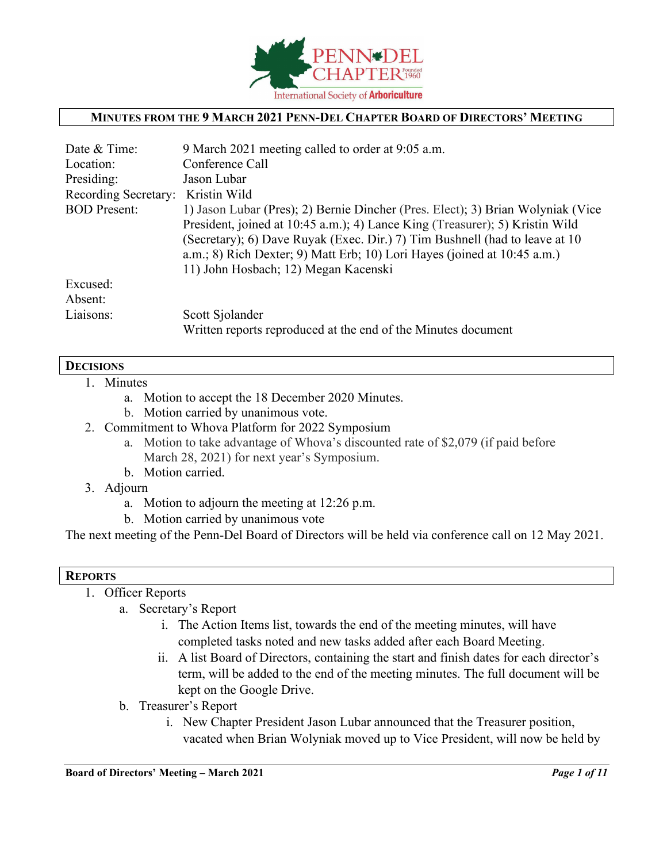

#### **MINUTES FROM THE 9 MARCH 2021 PENN-DEL CHAPTER BOARD OF DIRECTORS' MEETING**

| Date & Time:         | 9 March 2021 meeting called to order at 9:05 a.m.                               |
|----------------------|---------------------------------------------------------------------------------|
| Location:            | Conference Call                                                                 |
| Presiding:           | Jason Lubar                                                                     |
| Recording Secretary: | Kristin Wild                                                                    |
| <b>BOD</b> Present:  | 1) Jason Lubar (Pres); 2) Bernie Dincher (Pres. Elect); 3) Brian Wolyniak (Vice |
|                      | President, joined at 10:45 a.m.); 4) Lance King (Treasurer); 5) Kristin Wild    |
|                      | (Secretary); 6) Dave Ruyak (Exec. Dir.) 7) Tim Bushnell (had to leave at 10     |
|                      | $a.m.; 8)$ Rich Dexter; 9) Matt Erb; 10) Lori Hayes (joined at 10:45 a.m.)      |
|                      | 11) John Hosbach; 12) Megan Kacenski                                            |
| Excused:             |                                                                                 |
| Absent:              |                                                                                 |
| Liaisons:            | Scott Sjolander                                                                 |
|                      | Written reports reproduced at the end of the Minutes document                   |

#### **DECISIONS**

- 1. Minutes
	- a. Motion to accept the 18 December 2020 Minutes.
	- b. Motion carried by unanimous vote.
- 2. Commitment to Whova Platform for 2022 Symposium
	- a. Motion to take advantage of Whova's discounted rate of \$2,079 (if paid before March 28, 2021) for next year's Symposium.
	- b. Motion carried.
- 3. Adjourn
	- a. Motion to adjourn the meeting at 12:26 p.m.
	- b. Motion carried by unanimous vote

The next meeting of the Penn-Del Board of Directors will be held via conference call on 12 May 2021.

#### **REPORTS**

- 1. Officer Reports
	- a. Secretary's Report
		- i. The Action Items list, towards the end of the meeting minutes, will have completed tasks noted and new tasks added after each Board Meeting.
		- ii. A list Board of Directors, containing the start and finish dates for each director's term, will be added to the end of the meeting minutes. The full document will be kept on the Google Drive.
	- b. Treasurer's Report
		- i. New Chapter President Jason Lubar announced that the Treasurer position, vacated when Brian Wolyniak moved up to Vice President, will now be held by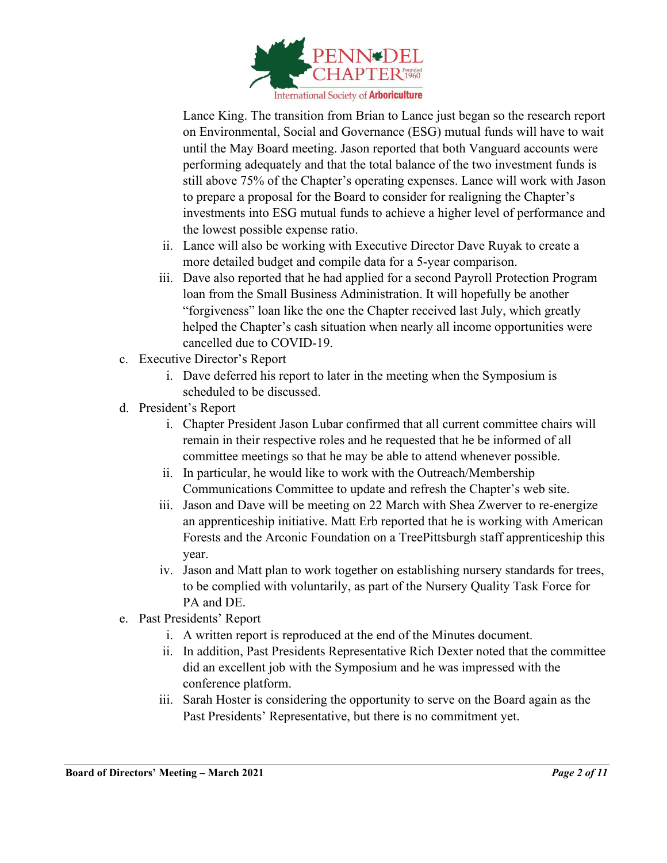

Lance King. The transition from Brian to Lance just began so the research report on Environmental, Social and Governance (ESG) mutual funds will have to wait until the May Board meeting. Jason reported that both Vanguard accounts were performing adequately and that the total balance of the two investment funds is still above 75% of the Chapter's operating expenses. Lance will work with Jason to prepare a proposal for the Board to consider for realigning the Chapter's investments into ESG mutual funds to achieve a higher level of performance and the lowest possible expense ratio.

- ii. Lance will also be working with Executive Director Dave Ruyak to create a more detailed budget and compile data for a 5-year comparison.
- iii. Dave also reported that he had applied for a second Payroll Protection Program loan from the Small Business Administration. It will hopefully be another "forgiveness" loan like the one the Chapter received last July, which greatly helped the Chapter's cash situation when nearly all income opportunities were cancelled due to COVID-19.
- c. Executive Director's Report
	- i. Dave deferred his report to later in the meeting when the Symposium is scheduled to be discussed.
- d. President's Report
	- i. Chapter President Jason Lubar confirmed that all current committee chairs will remain in their respective roles and he requested that he be informed of all committee meetings so that he may be able to attend whenever possible.
	- ii. In particular, he would like to work with the Outreach/Membership Communications Committee to update and refresh the Chapter's web site.
	- iii. Jason and Dave will be meeting on 22 March with Shea Zwerver to re-energize an apprenticeship initiative. Matt Erb reported that he is working with American Forests and the Arconic Foundation on a TreePittsburgh staff apprenticeship this year.
	- iv. Jason and Matt plan to work together on establishing nursery standards for trees, to be complied with voluntarily, as part of the Nursery Quality Task Force for PA and DE.
- e. Past Presidents' Report
	- i. A written report is reproduced at the end of the Minutes document.
	- ii. In addition, Past Presidents Representative Rich Dexter noted that the committee did an excellent job with the Symposium and he was impressed with the conference platform.
	- iii. Sarah Hoster is considering the opportunity to serve on the Board again as the Past Presidents' Representative, but there is no commitment yet.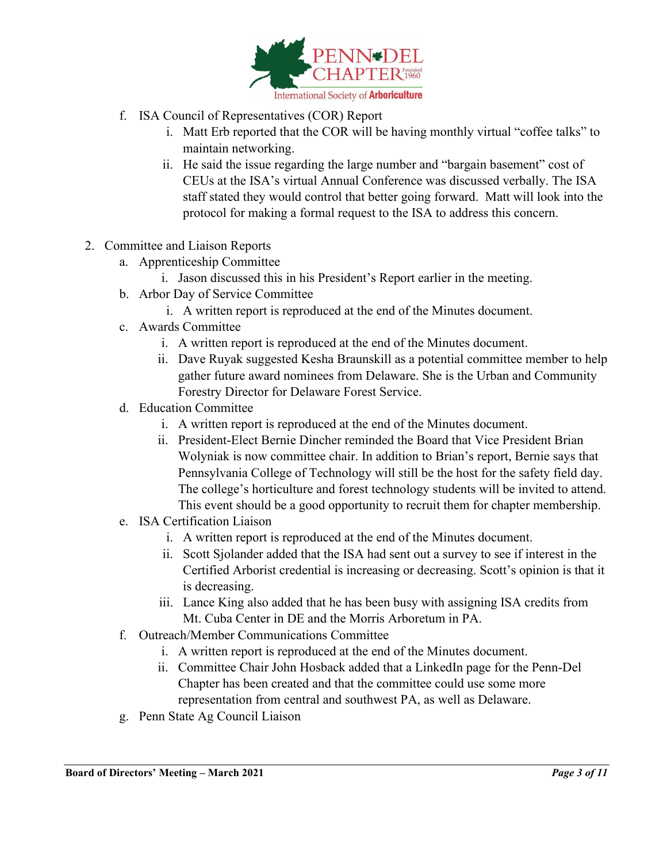

- f. ISA Council of Representatives (COR) Report
	- i. Matt Erb reported that the COR will be having monthly virtual "coffee talks" to maintain networking.
	- ii. He said the issue regarding the large number and "bargain basement" cost of CEUs at the ISA's virtual Annual Conference was discussed verbally. The ISA staff stated they would control that better going forward. Matt will look into the protocol for making a formal request to the ISA to address this concern.
- 2. Committee and Liaison Reports
	- a. Apprenticeship Committee
		- i. Jason discussed this in his President's Report earlier in the meeting.
	- b. Arbor Day of Service Committee
		- i. A written report is reproduced at the end of the Minutes document.
	- c. Awards Committee
		- i. A written report is reproduced at the end of the Minutes document.
		- ii. Dave Ruyak suggested Kesha Braunskill as a potential committee member to help gather future award nominees from Delaware. She is the Urban and Community Forestry Director for Delaware Forest Service.
	- d. Education Committee
		- i. A written report is reproduced at the end of the Minutes document.
		- ii. President-Elect Bernie Dincher reminded the Board that Vice President Brian Wolyniak is now committee chair. In addition to Brian's report, Bernie says that Pennsylvania College of Technology will still be the host for the safety field day. The college's horticulture and forest technology students will be invited to attend. This event should be a good opportunity to recruit them for chapter membership.
	- e. ISA Certification Liaison
		- i. A written report is reproduced at the end of the Minutes document.
		- ii. Scott Sjolander added that the ISA had sent out a survey to see if interest in the Certified Arborist credential is increasing or decreasing. Scott's opinion is that it is decreasing.
		- iii. Lance King also added that he has been busy with assigning ISA credits from Mt. Cuba Center in DE and the Morris Arboretum in PA.
	- f. Outreach/Member Communications Committee
		- i. A written report is reproduced at the end of the Minutes document.
		- ii. Committee Chair John Hosback added that a LinkedIn page for the Penn-Del Chapter has been created and that the committee could use some more representation from central and southwest PA, as well as Delaware.
	- g. Penn State Ag Council Liaison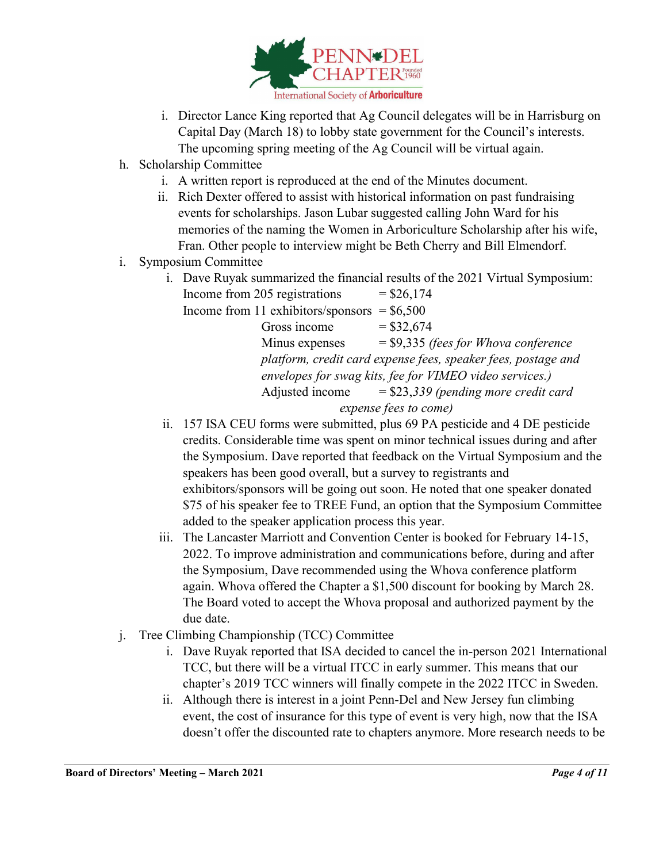

- i. Director Lance King reported that Ag Council delegates will be in Harrisburg on Capital Day (March 18) to lobby state government for the Council's interests. The upcoming spring meeting of the Ag Council will be virtual again.
- h. Scholarship Committee
	- i. A written report is reproduced at the end of the Minutes document.
	- ii. Rich Dexter offered to assist with historical information on past fundraising events for scholarships. Jason Lubar suggested calling John Ward for his memories of the naming the Women in Arboriculture Scholarship after his wife, Fran. Other people to interview might be Beth Cherry and Bill Elmendorf.
- i. Symposium Committee
	- i. Dave Ruyak summarized the financial results of the 2021 Virtual Symposium: Income from 205 registrations  $= $26,174$ Income from 11 exhibitors/sponsors  $=$  \$6,500 Gross income  $= $32,674$ Minus expenses = \$9,335 *(fees for Whova conference platform, credit card expense fees, speaker fees, postage and envelopes for swag kits, fee for VIMEO video services.)* Adjusted income = \$23,*339 (pending more credit card*

```
expense fees to come)
```
- ii. 157 ISA CEU forms were submitted, plus 69 PA pesticide and 4 DE pesticide credits. Considerable time was spent on minor technical issues during and after the Symposium. Dave reported that feedback on the Virtual Symposium and the speakers has been good overall, but a survey to registrants and exhibitors/sponsors will be going out soon. He noted that one speaker donated \$75 of his speaker fee to TREE Fund, an option that the Symposium Committee added to the speaker application process this year.
- iii. The Lancaster Marriott and Convention Center is booked for February 14-15, 2022. To improve administration and communications before, during and after the Symposium, Dave recommended using the Whova conference platform again. Whova offered the Chapter a \$1,500 discount for booking by March 28. The Board voted to accept the Whova proposal and authorized payment by the due date.
- j. Tree Climbing Championship (TCC) Committee
	- i. Dave Ruyak reported that ISA decided to cancel the in-person 2021 International TCC, but there will be a virtual ITCC in early summer. This means that our chapter's 2019 TCC winners will finally compete in the 2022 ITCC in Sweden.
	- ii. Although there is interest in a joint Penn-Del and New Jersey fun climbing event, the cost of insurance for this type of event is very high, now that the ISA doesn't offer the discounted rate to chapters anymore. More research needs to be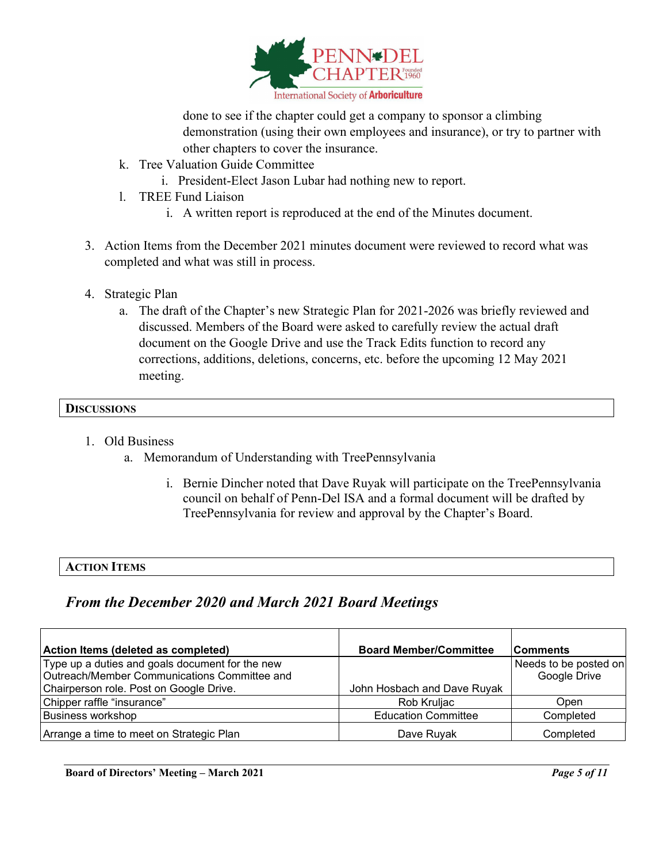

done to see if the chapter could get a company to sponsor a climbing demonstration (using their own employees and insurance), or try to partner with other chapters to cover the insurance.

- k. Tree Valuation Guide Committee
	- i. President-Elect Jason Lubar had nothing new to report.
- l. TREE Fund Liaison
	- i. A written report is reproduced at the end of the Minutes document.
- 3. Action Items from the December 2021 minutes document were reviewed to record what was completed and what was still in process.
- 4. Strategic Plan
	- a. The draft of the Chapter's new Strategic Plan for 2021-2026 was briefly reviewed and discussed. Members of the Board were asked to carefully review the actual draft document on the Google Drive and use the Track Edits function to record any corrections, additions, deletions, concerns, etc. before the upcoming 12 May 2021 meeting.

#### **DISCUSSIONS**

- 1. Old Business
	- a. Memorandum of Understanding with TreePennsylvania
		- i. Bernie Dincher noted that Dave Ruyak will participate on the TreePennsylvania council on behalf of Penn-Del ISA and a formal document will be drafted by TreePennsylvania for review and approval by the Chapter's Board.

## **ACTION ITEMS**

## *From the December 2020 and March 2021 Board Meetings*

| Action Items (deleted as completed)             | <b>Board Member/Committee</b> | <b>Comments</b>       |
|-------------------------------------------------|-------------------------------|-----------------------|
| Type up a duties and goals document for the new |                               | Needs to be posted on |
| Outreach/Member Communications Committee and    |                               | Google Drive          |
| Chairperson role. Post on Google Drive.         | John Hosbach and Dave Ruyak   |                       |
| Chipper raffle "insurance"                      | Rob Kruljac                   | Open                  |
| <b>Business workshop</b>                        | <b>Education Committee</b>    | Completed             |
| Arrange a time to meet on Strategic Plan        | Dave Ruyak                    | Completed             |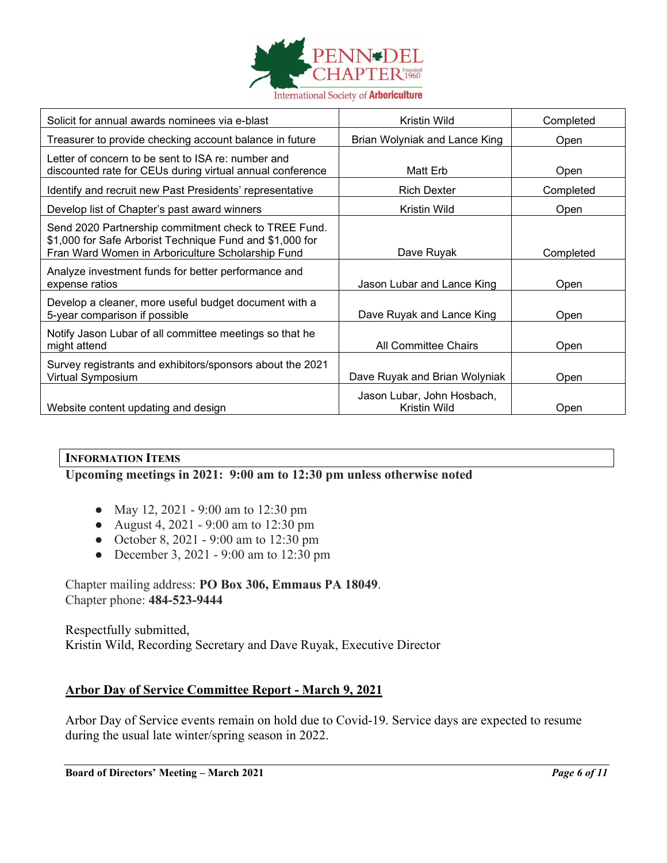

| Solicit for annual awards nominees via e-blast                                                                                                                        | Kristin Wild                               | Completed |
|-----------------------------------------------------------------------------------------------------------------------------------------------------------------------|--------------------------------------------|-----------|
| Treasurer to provide checking account balance in future                                                                                                               | Brian Wolyniak and Lance King              | Open      |
| Letter of concern to be sent to ISA re: number and<br>discounted rate for CEUs during virtual annual conference                                                       | Matt Erb                                   | Open      |
| Identify and recruit new Past Presidents' representative                                                                                                              | <b>Rich Dexter</b>                         | Completed |
| Develop list of Chapter's past award winners                                                                                                                          | Kristin Wild                               | Open      |
| Send 2020 Partnership commitment check to TREE Fund.<br>\$1,000 for Safe Arborist Technique Fund and \$1,000 for<br>Fran Ward Women in Arboriculture Scholarship Fund | Dave Ruyak                                 | Completed |
| Analyze investment funds for better performance and<br>expense ratios                                                                                                 | Jason Lubar and Lance King                 | Open      |
| Develop a cleaner, more useful budget document with a<br>5-year comparison if possible                                                                                | Dave Ruyak and Lance King                  | Open      |
| Notify Jason Lubar of all committee meetings so that he<br>might attend                                                                                               | All Committee Chairs                       | Open      |
| Survey registrants and exhibitors/sponsors about the 2021<br>Virtual Symposium                                                                                        | Dave Ruyak and Brian Wolyniak              | Open      |
| Website content updating and design                                                                                                                                   | Jason Lubar, John Hosbach,<br>Kristin Wild | Open      |

#### **INFORMATION ITEMS**

## **Upcoming meetings in 2021: 9:00 am to 12:30 pm unless otherwise noted**

- May 12, 2021 9:00 am to 12:30 pm
- August 4, 2021 9:00 am to 12:30 pm
- October 8, 2021 9:00 am to 12:30 pm
- December 3, 2021 9:00 am to 12:30 pm

#### Chapter mailing address: **PO Box 306, Emmaus PA 18049**. Chapter phone: **484-523-9444**

Respectfully submitted, Kristin Wild, Recording Secretary and Dave Ruyak, Executive Director

#### **Arbor Day of Service Committee Report - March 9, 2021**

Arbor Day of Service events remain on hold due to Covid-19. Service days are expected to resume during the usual late winter/spring season in 2022.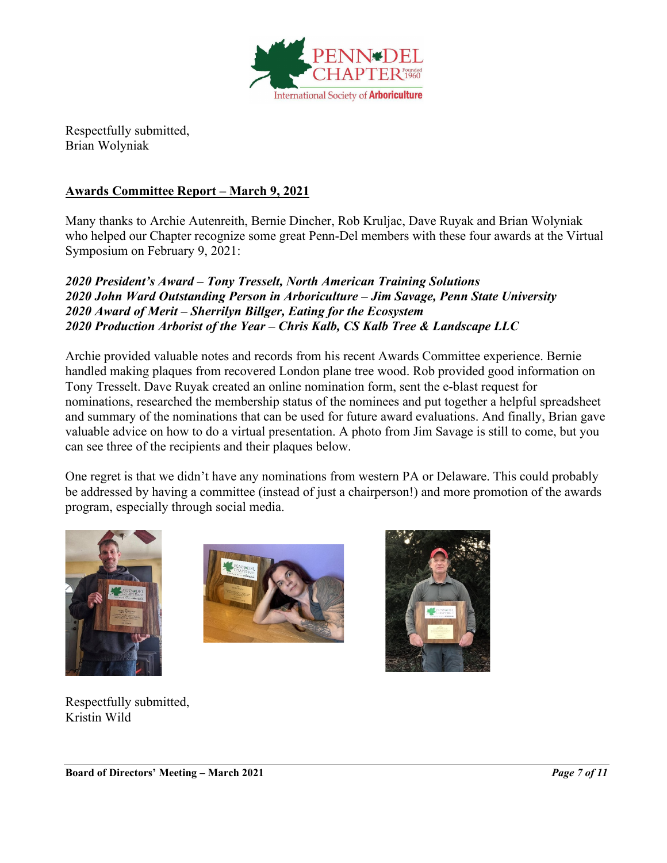

Respectfully submitted, Brian Wolyniak

## **Awards Committee Report – March 9, 2021**

Many thanks to Archie Autenreith, Bernie Dincher, Rob Kruljac, Dave Ruyak and Brian Wolyniak who helped our Chapter recognize some great Penn-Del members with these four awards at the Virtual Symposium on February 9, 2021:

*2020 President's Award – Tony Tresselt, North American Training Solutions 2020 John Ward Outstanding Person in Arboriculture – Jim Savage, Penn State University 2020 Award of Merit – Sherrilyn Billger, Eating for the Ecosystem 2020 Production Arborist of the Year – Chris Kalb, CS Kalb Tree & Landscape LLC*

Archie provided valuable notes and records from his recent Awards Committee experience. Bernie handled making plaques from recovered London plane tree wood. Rob provided good information on Tony Tresselt. Dave Ruyak created an online nomination form, sent the e-blast request for nominations, researched the membership status of the nominees and put together a helpful spreadsheet and summary of the nominations that can be used for future award evaluations. And finally, Brian gave valuable advice on how to do a virtual presentation. A photo from Jim Savage is still to come, but you can see three of the recipients and their plaques below.

One regret is that we didn't have any nominations from western PA or Delaware. This could probably be addressed by having a committee (instead of just a chairperson!) and more promotion of the awards program, especially through social media.







Respectfully submitted, Kristin Wild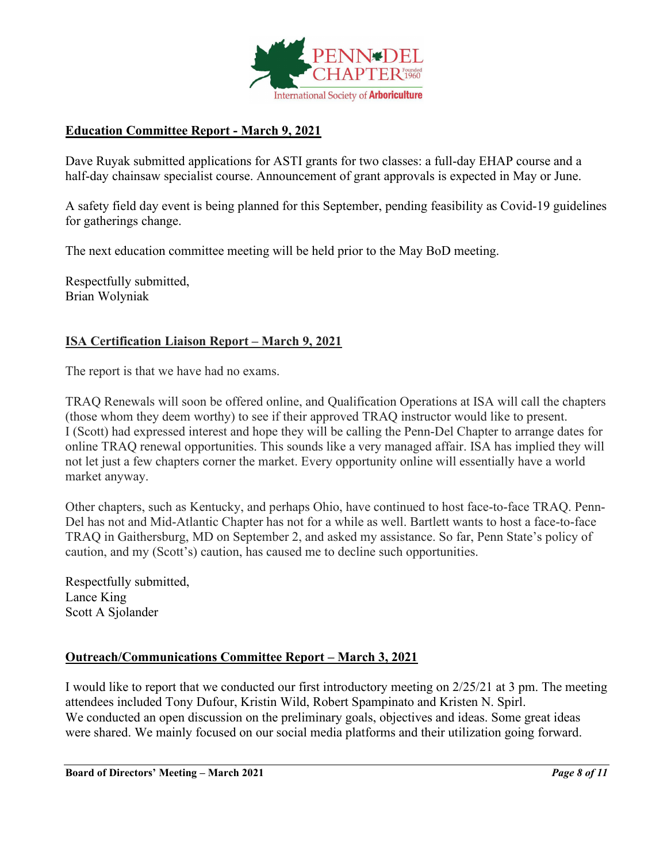

## **Education Committee Report - March 9, 2021**

Dave Ruyak submitted applications for ASTI grants for two classes: a full-day EHAP course and a half-day chainsaw specialist course. Announcement of grant approvals is expected in May or June.

A safety field day event is being planned for this September, pending feasibility as Covid-19 guidelines for gatherings change.

The next education committee meeting will be held prior to the May BoD meeting.

Respectfully submitted, Brian Wolyniak

## **ISA Certification Liaison Report – March 9, 2021**

The report is that we have had no exams.

TRAQ Renewals will soon be offered online, and Qualification Operations at ISA will call the chapters (those whom they deem worthy) to see if their approved TRAQ instructor would like to present. I (Scott) had expressed interest and hope they will be calling the Penn-Del Chapter to arrange dates for online TRAQ renewal opportunities. This sounds like a very managed affair. ISA has implied they will not let just a few chapters corner the market. Every opportunity online will essentially have a world market anyway.

Other chapters, such as Kentucky, and perhaps Ohio, have continued to host face-to-face TRAQ. Penn-Del has not and Mid-Atlantic Chapter has not for a while as well. Bartlett wants to host a face-to-face TRAQ in Gaithersburg, MD on September 2, and asked my assistance. So far, Penn State's policy of caution, and my (Scott's) caution, has caused me to decline such opportunities.

Respectfully submitted, Lance King Scott A Sjolander

## **Outreach/Communications Committee Report – March 3, 2021**

I would like to report that we conducted our first introductory meeting on 2/25/21 at 3 pm. The meeting attendees included Tony Dufour, Kristin Wild, Robert Spampinato and Kristen N. Spirl. We conducted an open discussion on the preliminary goals, objectives and ideas. Some great ideas were shared. We mainly focused on our social media platforms and their utilization going forward.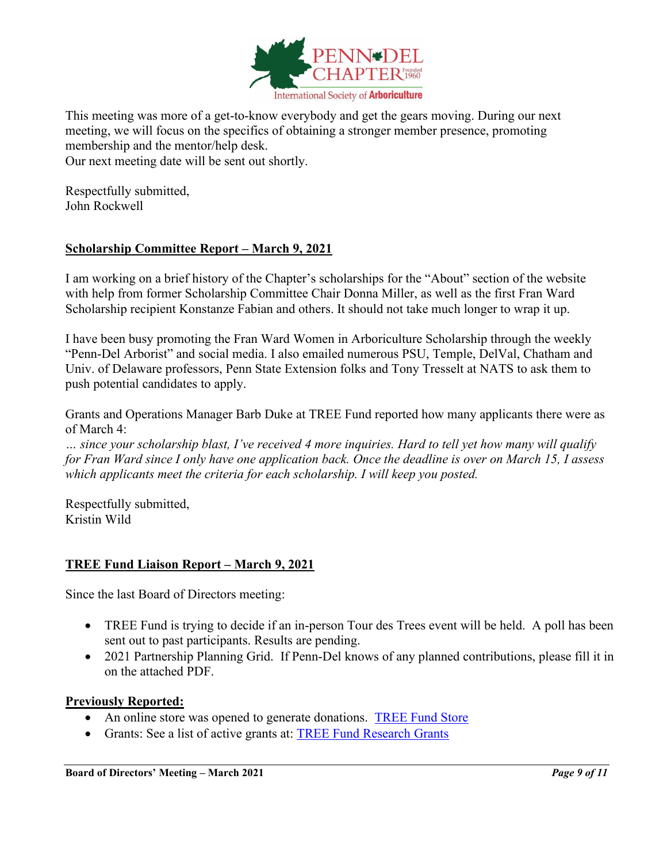

This meeting was more of a get-to-know everybody and get the gears moving. During our next meeting, we will focus on the specifics of obtaining a stronger member presence, promoting membership and the mentor/help desk.

Our next meeting date will be sent out shortly.

Respectfully submitted, John Rockwell

## **Scholarship Committee Report – March 9, 2021**

I am working on a brief history of the Chapter's scholarships for the "About" section of the website with help from former Scholarship Committee Chair Donna Miller, as well as the first Fran Ward Scholarship recipient Konstanze Fabian and others. It should not take much longer to wrap it up.

I have been busy promoting the Fran Ward Women in Arboriculture Scholarship through the weekly "Penn-Del Arborist" and social media. I also emailed numerous PSU, Temple, DelVal, Chatham and Univ. of Delaware professors, Penn State Extension folks and Tony Tresselt at NATS to ask them to push potential candidates to apply.

Grants and Operations Manager Barb Duke at TREE Fund reported how many applicants there were as of March 4:

*… since your scholarship blast, I've received 4 more inquiries. Hard to tell yet how many will qualify for Fran Ward since I only have one application back. Once the deadline is over on March 15, I assess which applicants meet the criteria for each scholarship. I will keep you posted.*

Respectfully submitted, Kristin Wild

## **TREE Fund Liaison Report – March 9, 2021**

Since the last Board of Directors meeting:

- TREE Fund is trying to decide if an in-person Tour des Trees event will be held. A poll has been sent out to past participants. Results are pending.
- 2021 Partnership Planning Grid. If Penn-Del knows of any planned contributions, please fill it in on the attached PDF.

#### **Previously Reported:**

- An online store was opened to generate donations. [TREE Fund Store](https://treefund-299483.square.site/)
- Grants: See a list of active grants at: [TREE Fund Research Grants](https://treefund.org/researchgrants)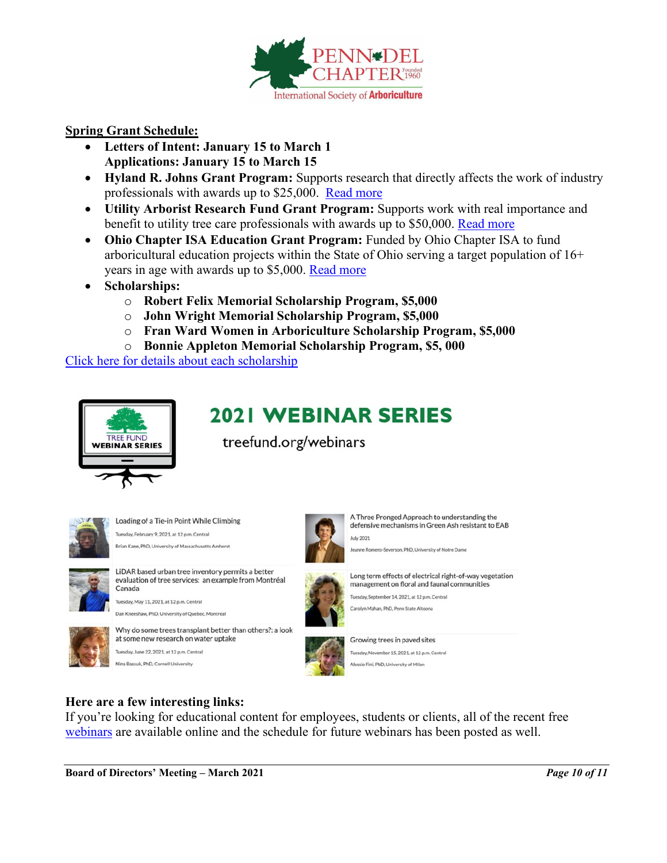

#### **Spring Grant Schedule:**

- **Letters of Intent: January 15 to March 1 Applications: January 15 to March 15**
- **Hyland R. Johns Grant Program:** Supports research that directly affects the work of industry professionals with awards up to \$25,000. [Read more](https://treefund.org/researchgrants/johns)
- **Utility Arborist Research Fund Grant Program:** Supports work with real importance and benefit to utility tree care professionals with awards up to \$50,000. [Read more](https://treefund.org/researchgrants/uarf)
- **Ohio Chapter ISA Education Grant Program:** Funded by Ohio Chapter ISA to fund arboricultural education projects within the State of Ohio serving a target population of 16+ years in age with awards up to \$5,000. [Read more](https://treefund.org/educationgrants/ohio)
- **Scholarships:**
	- o **Robert Felix Memorial Scholarship Program, \$5,000**
	- o **John Wright Memorial Scholarship Program, \$5,000**
	- o **Fran Ward Women in Arboriculture Scholarship Program, \$5,000**
	- o **Bonnie Appleton Memorial Scholarship Program, \$5, 000**

[Click here for details about each scholarship](https://treefund.org/scholarships)



# **2021 WEBINAR SERIES**

treefund.org/webinars



Loading of a Tie-in Point While Climbing Tuesday, February 9, 2021, at 12 p.m. Central Brian Kane, PhD, University of Massachusetts Amherst



LiDAR based urban tree inventory permits a better evaluation of tree services: an example from Montréal Canada

Tuesday, May 11, 2021, at 12 p.m. Central Dan Kneeshaw, PhD, University of Quebec, Montreal



at some new research on water uptake Tuesday, June 22, 2021, at 12 p.m. Central Nina Bassuk, PhD, Cornell University

Why do some trees transplant better than others?: a look



A Three Pronged Approach to understanding the defensive mechanisms in Green Ash resistant to EAB July 2021

mero-Severson, PhD, University of Notre Dame



Long term effects of electrical right-of-way vegetation management on floral and faunal communities

Tuesday, September 14, 2021, at 12 p.m. Central Carolyn Mahan, PhD, Penn State Altoona



Growing trees in payed sites Tuesday, November 15, 2021, at 12 p.m. Central Alessio Fini, PhD, University of Milan

## **Here are a few interesting links:**

If you're looking for educational content for employees, students or clients, all of the recent free [webinars](https://www.treefund.org/webinars) are available online and the schedule for future webinars has been posted as well.